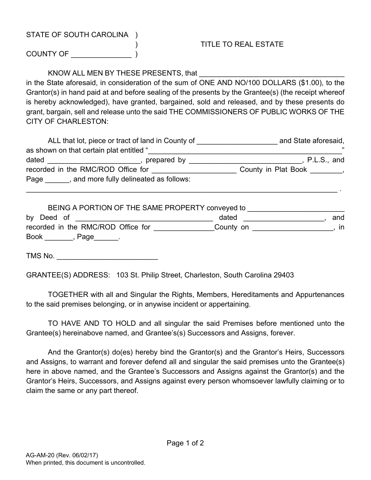## STATE OF SOUTH CAROLINA )

## ) TITLE TO REAL ESTATE

COUNTY OF

## KNOW ALL MEN BY THESE PRESENTS, that

in the State aforesaid, in consideration of the sum of ONE AND NO/100 DOLLARS (\$1.00), to the Grantor(s) in hand paid at and before sealing of the presents by the Grantee(s) (the receipt whereof is hereby acknowledged), have granted, bargained, sold and released, and by these presents do grant, bargain, sell and release unto the said THE COMMISSIONERS OF PUBLIC WORKS OF THE CITY OF CHARLESTON:

| ALL that lot, piece or tract of land in County of |                                         | and State aforesaid, |  |
|---------------------------------------------------|-----------------------------------------|----------------------|--|
| as shown on that certain plat entitled "          |                                         | ,,                   |  |
| dated                                             | prepared by                             | P.L.S., and          |  |
| recorded in the RMC/ROD Office for                |                                         | County in Plat Book  |  |
| Page                                              | , and more fully delineated as follows: |                      |  |
|                                                   |                                         |                      |  |

| BEING A PORTION OF THE SAME PROPERTY conveyed to |           |     |
|--------------------------------------------------|-----------|-----|
| by Deed of                                       | dated     | and |
| recorded in the RMC/ROD Office for               | County on | ın  |
| <b>Book</b><br>, Page                            |           |     |

TMS No. \_\_\_\_\_\_\_\_\_\_\_\_\_\_\_\_\_\_\_\_\_\_\_\_\_

GRANTEE(S) ADDRESS: 103 St. Philip Street, Charleston, South Carolina 29403

TOGETHER with all and Singular the Rights, Members, Hereditaments and Appurtenances to the said premises belonging, or in anywise incident or appertaining.

TO HAVE AND TO HOLD and all singular the said Premises before mentioned unto the Grantee(s) hereinabove named, and Grantee's(s) Successors and Assigns, forever.

And the Grantor(s) do(es) hereby bind the Grantor(s) and the Grantor's Heirs, Successors and Assigns, to warrant and forever defend all and singular the said premises unto the Grantee(s) here in above named, and the Grantee's Successors and Assigns against the Grantor(s) and the Grantor's Heirs, Successors, and Assigns against every person whomsoever lawfully claiming or to claim the same or any part thereof.